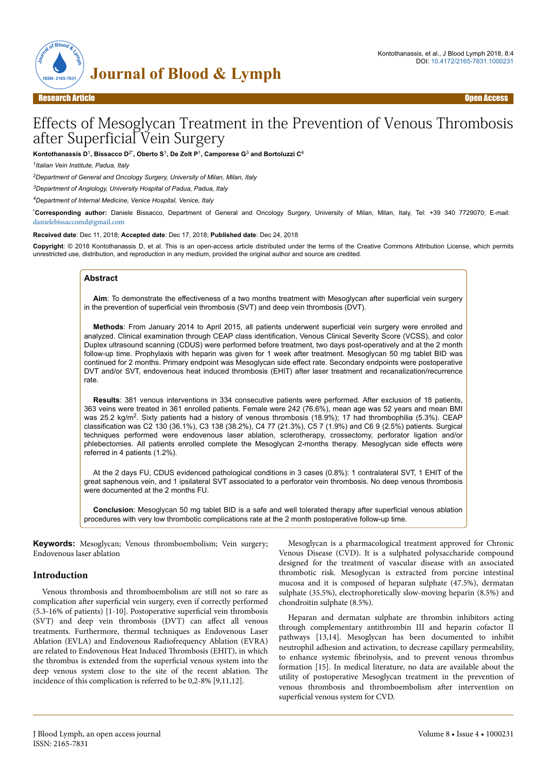



Research Article Open Access

# Effects of Mesoglycan Treatment in the Prevention of Venous Thrombosis after Superficial Vein Surgery

**Kontothanassis D**<sup>1</sup> **, Bissacco D**2\***, Oberto S**<sup>1</sup> **, De Zolt P**<sup>1</sup> **, Camporese G**<sup>3</sup>  **and Bortoluzzi C**<sup>4</sup>

*1 Italian Vein Institute, Padua, Italy*

*<sup>2</sup>Department of General and Oncology Surgery, University of Milan, Milan, Italy*

*<sup>3</sup>Department of Angiology, University Hospital of Padua, Padua, Italy*

*<sup>4</sup>Department of Internal Medicine, Venice Hospital, Venice, Italy*

\***Corresponding author:** Daniele Bissacco, Department of General and Oncology Surgery, University of Milan, Milan, Italy, Tel: +39 340 7729070; E-mail: [danielebissaccomd@gmail.com](mailto:danielebissaccomd@gmail.com)

**Received date**: Dec 11, 2018; **Accepted date**: Dec 17, 2018; **Published date**: Dec 24, 2018

**Copyright**: © 2018 Kontothanassis D, et al. This is an open-access article distributed under the terms of the Creative Commons Attribution License, which permits unrestricted use, distribution, and reproduction in any medium, provided the original author and source are credited.

### **Abstract**

**Aim**: To demonstrate the effectiveness of a two months treatment with Mesoglycan after superficial vein surgery in the prevention of superficial vein thrombosis (SVT) and deep vein thrombosis (DVT).

**Methods**: From January 2014 to April 2015, all patients underwent superficial vein surgery were enrolled and analyzed. Clinical examination through CEAP class identification, Venous Clinical Severity Score (VCSS), and color Duplex ultrasound scanning (CDUS) were performed before treatment, two days post-operatively and at the 2 month follow-up time. Prophylaxis with heparin was given for 1 week after treatment. Mesoglycan 50 mg tablet BID was continued for 2 months. Primary endpoint was Mesoglycan side effect rate. Secondary endpoints were postoperative DVT and/or SVT, endovenous heat induced thrombosis (EHIT) after laser treatment and recanalization/recurrence rate.

**Results**: 381 venous interventions in 334 consecutive patients were performed. After exclusion of 18 patients, 363 veins were treated in 361 enrolled patients. Female were 242 (76.6%), mean age was 52 years and mean BMI was 25.2 kg/m<sup>2</sup>. Sixty patients had a history of venous thrombosis (18.9%); 17 had thrombophilia (5.3%). CEAP classification was C2 130 (36.1%), C3 138 (38.2%), C4 77 (21.3%), C5 7 (1.9%) and C6 9 (2.5%) patients. Surgical techniques performed were endovenous laser ablation, sclerotherapy, crossectomy, perforator ligation and/or phlebectomies. All patients enrolled complete the Mesoglycan 2-months therapy. Mesoglycan side effects were referred in 4 patients (1.2%).

At the 2 days FU, CDUS evidenced pathological conditions in 3 cases (0.8%): 1 contralateral SVT, 1 EHIT of the great saphenous vein, and 1 ipsilateral SVT associated to a perforator vein thrombosis. No deep venous thrombosis were documented at the 2 months FU.

**Conclusion**: Mesoglycan 50 mg tablet BID is a safe and well tolerated therapy after superficial venous ablation procedures with very low thrombotic complications rate at the 2 month postoperative follow-up time.

**Keywords:** Mesoglycan; Venous thromboembolism; Vein surgery; Endovenous laser ablation

### **Introduction**

Venous thrombosis and thromboembolism are still not so rare as complication after superficial vein surgery, even if correctly performed  $(5.3-16\%$  of patients) [1-10]. Postoperative superficial vein thrombosis (SVT) and deep vein thrombosis (DVT) can affect all venous treatments. Furthermore, thermal techniques as Endovenous Laser Ablation (EVLA) and Endovenous Radiofrequency Ablation (EVRA) are related to Endovenous Heat Induced Thrombosis (EHIT), in which the thrombus is extended from the superficial venous system into the deep venous system close to the site of the recent ablation. Нe incidence of this complication is referred to be 0,2-8% [9,11,12].

Mesoglycan is a pharmacological treatment approved for Chronic Venous Disease (CVD). It is a sulphated polysaccharide compound designed for the treatment of vascular disease with an associated thrombotic risk. Mesoglycan is extracted from porcine intestinal mucosa and it is composed of heparan sulphate (47.5%), dermatan sulphate (35.5%), electrophoretically slow-moving heparin (8.5%) and chondroitin sulphate (8.5%).

Heparan and dermatan sulphate are thrombin inhibitors acting through complementary antithrombin III and heparin cofactor II pathways [13,14]. Mesoglycan has been documented to inhibit neutrophil adhesion and activation, to decrease capillary permeability, to enhance systemic fibrinolysis, and to prevent venous thrombus formation [15]. In medical literature, no data are available about the utility of postoperative Mesoglycan treatment in the prevention of venous thrombosis and thromboembolism after intervention on superficial venous system for CVD.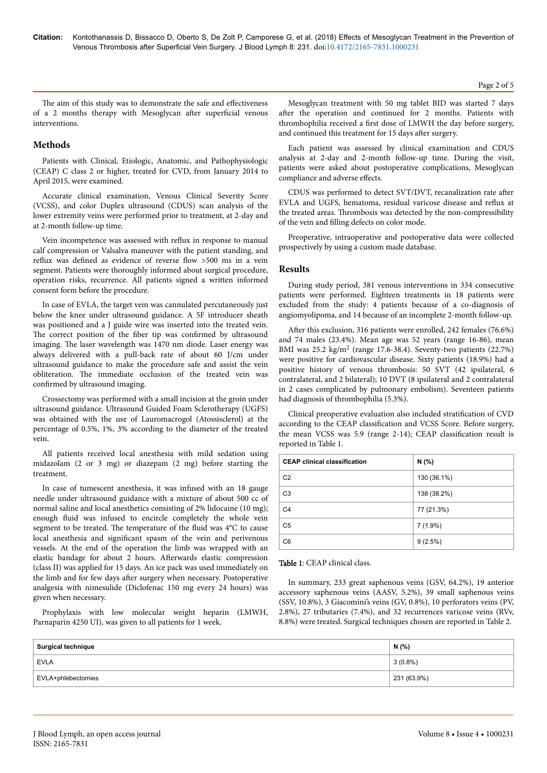Page 2 of 5

The aim of this study was to demonstrate the safe and effectiveness of a 2 months therapy with Mesoglycan after superficial venous interventions.

# **Methods**

Patients with Clinical, Etiologic, Anatomic, and Pathophysiologic (CEAP) C class 2 or higher, treated for CVD, from January 2014 to April 2015, were examined.

Accurate clinical examination, Venous Clinical Severity Score (VCSS), and color Duplex ultrasound (CDUS) scan analysis of the lower extremity veins were performed prior to treatment, at 2-day and at 2-month follow-up time.

Vein incompetence was assessed with reflux in response to manual calf compression or Valsalva maneuver with the patient standing, and reflux was defined as evidence of reverse flow >500 ms in a vein segment. Patients were thoroughly informed about surgical procedure, operation risks, recurrence. All patients signed a written informed consent form before the procedure.

In case of EVLA, the target vein was cannulated percutaneously just below the knee under ultrasound guidance. A 5F introducer sheath was positioned and a J guide wire was inserted into the treated vein. The correct position of the fiber tip was confirmed by ultrasound imaging. Нe laser wavelength was 1470 nm diode. Laser energy was always delivered with a pull-back rate of about 60 J/cm under ultrasound guidance to make the procedure safe and assist the vein obliteration. Нe immediate occlusion of the treated vein was confirmed by ultrasound imaging.

Crossectomy was performed with a small incision at the groin under ultrasound guidance. Ultrasound Guided Foam Sclerotherapy (UGFS) was obtained with the use of Lauromacrogol (Atossisclerol) at the percentage of 0.5%, 1%, 3% according to the diameter of the treated vein.

All patients received local anesthesia with mild sedation using midazolam (2 or 3 mg) or diazepam (2 mg) before starting the treatment.

In case of tumescent anesthesia, it was infused with an 18 gauge needle under ultrasound guidance with a mixture of about 500 cc of normal saline and local anesthetics consisting of 2% lidocaine (10 mg); enough fluid was infused to encircle completely the whole vein segment to be treated. The temperature of the fluid was 4°C to cause local anesthesia and significant spasm of the vein and perivenous vessels. At the end of the operation the limb was wrapped with an elastic bandage for about 2 hours. Afterwards elastic compression (class II) was applied for 15 days. An ice pack was used immediately on the limb and for few days after surgery when necessary. Postoperative analgesia with nimesulide (Diclofenac 150 mg every 24 hours) was given when necessary.

Prophylaxis with low molecular weight heparin (LMWH, Parnaparin 4250 UI), was given to all patients for 1 week.

Mesoglycan treatment with 50 mg tablet BID was started 7 days after the operation and continued for 2 months. Patients with thrombophilia received a first dose of LMWH the day before surgery, and continued this treatment for 15 days after surgery.

Each patient was assessed by clinical examination and CDUS analysis at 2-day and 2-month follow-up time. During the visit, patients were asked about postoperative complications, Mesoglycan compliance and adverse effects.

CDUS was performed to detect SVT/DVT, recanalization rate after EVLA and UGFS, hematoma, residual varicose disease and reflux at the treated areas. Thrombosis was detected by the non-compressibility of the vein and filling defects on color mode.

Preoperative, intraoperative and postoperative data were collected prospectively by using a custom made database.

## **Results**

During study period, 381 venous interventions in 334 consecutive patients were performed. Eighteen treatments in 18 patients were excluded from the study: 4 patients because of a co-diagnosis of angiomyolipoma, and 14 because of an incomplete 2-month follow-up.

After this exclusion, 316 patients were enrolled, 242 females (76.6%) and 74 males (23.4%). Mean age was 52 years (range 16-86), mean BMI was 25.2 kg/m<sup>2</sup> (range 17.6-38.4). Seventy-two patients (22.7%) were positive for cardiovascular disease. Sixty patients (18.9%) had a positive history of venous thrombosis: 50 SVT (42 ipsilateral, 6 contralateral, and 2 bilateral); 10 DVT (8 ipsilateral and 2 contralateral in 2 cases complicated by pulmonary embolism). Seventeen patients had diagnosis of thrombophilia (5.3%).

Clinical preoperative evaluation also included stratification of CVD according to the CEAP classification and VCSS Score. Before surgery, the mean VCSS was 5.9 (range 2-14); CEAP classification result is reported in Table 1.

| <b>CEAP clinical classification</b> | N(% )       |  |  |
|-------------------------------------|-------------|--|--|
| C <sub>2</sub>                      | 130 (36.1%) |  |  |
| C <sub>3</sub>                      | 138 (38.2%) |  |  |
| C <sub>4</sub>                      | 77 (21.3%)  |  |  |
| C <sub>5</sub>                      | 7 (1.9%)    |  |  |
| C <sub>6</sub>                      | 9(2.5%)     |  |  |

## Table 1: CEAP clinical class.

In summary, 233 great saphenous veins (GSV, 64.2%), 19 anterior accessory saphenous veins (AASV, 5.2%), 39 small saphenous veins (SSV, 10.8%), 3 Giacomini's veins (GV, 0.8%), 10 perforators veins (PV, 2.8%), 27 tributaries (7.4%), and 32 recurrences varicose veins (RVv, 8.8%) were treated. Surgical techniques chosen are reported in Table 2.

| <b>Surgical technique</b> | N(%         |
|---------------------------|-------------|
| <b>EVLA</b>               | $3(0.8\%)$  |
| EVLA+phlebectomies        | 231 (63.9%) |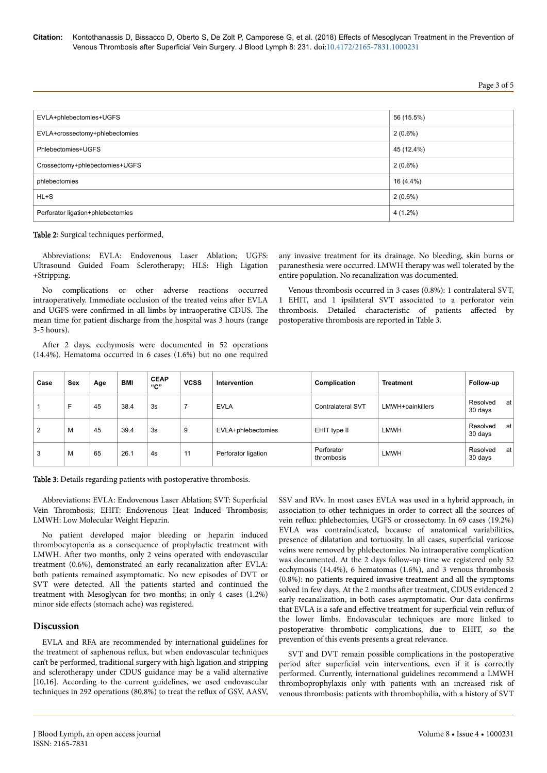Page 3 of 5

| EVLA+phlebectomies+UGFS           | 56 (15.5%) |
|-----------------------------------|------------|
| EVLA+crossectomy+phlebectomies    | $2(0.6\%)$ |
| Phlebectomies+UGFS                | 45 (12.4%) |
| Crossectomy+phlebectomies+UGFS    | $2(0.6\%)$ |
| phlebectomies                     | 16 (4.4%)  |
| $HL+S$                            | $2(0.6\%)$ |
| Perforator ligation+phlebectomies | $4(1.2\%)$ |

Table 2: Surgical techniques performed.

Abbreviations: EVLA: Endovenous Laser Ablation; UGFS: Ultrasound Guided Foam Sclerotherapy; HLS: High Ligation +Stripping.

No complications or other adverse reactions occurred intraoperatively. Immediate occlusion of the treated veins after EVLA and UGFS were confirmed in all limbs by intraoperative CDUS. Нe mean time for patient discharge from the hospital was 3 hours (range 3-5 hours).

After 2 days, ecchymosis were documented in 52 operations (14.4%). Hematoma occurred in 6 cases (1.6%) but no one required

any invasive treatment for its drainage. No bleeding, skin burns or paranesthesia were occurred. LMWH therapy was well tolerated by the entire population. No recanalization was documented.

Venous thrombosis occurred in 3 cases (0.8%): 1 contralateral SVT, 1 EHIT, and 1 ipsilateral SVT associated to a perforator vein thrombosis. Detailed characteristic of patients affected by postoperative thrombosis are reported in Table 3.

| Case | Sex | Age | <b>BMI</b> | <b>CEAP</b><br>"С" | <b>VCSS</b> | Intervention        | Complication             | <b>Treatment</b> | Follow-up                 |
|------|-----|-----|------------|--------------------|-------------|---------------------|--------------------------|------------------|---------------------------|
|      | E   | 45  | 38.4       | 3s                 |             | <b>EVLA</b>         | <b>Contralateral SVT</b> | LMWH+painkillers | Resolved<br>at<br>30 days |
| 2    | M   | 45  | 39.4       | 3s                 | 9           | EVLA+phlebectomies  | EHIT type II             | LMWH             | Resolved<br>at<br>30 days |
| 3    | м   | 65  | 26.1       | 4s                 | 11          | Perforator ligation | Perforator<br>thrombosis | <b>LMWH</b>      | Resolved<br>at<br>30 days |

Table 3: Details regarding patients with postoperative thrombosis.

Abbreviations: EVLA: Endovenous Laser Ablation; SVT: Superficial Vein Thrombosis; EHIT: Endovenous Heat Induced Thrombosis; LMWH: Low Molecular Weight Heparin.

No patient developed major bleeding or heparin induced thrombocytopenia as a consequence of prophylactic treatment with LMWH. After two months, only 2 veins operated with endovascular treatment (0.6%), demonstrated an early recanalization after EVLA: both patients remained asymptomatic. No new episodes of DVT or SVT were detected. All the patients started and continued the treatment with Mesoglycan for two months; in only 4 cases (1.2%) minor side effects (stomach ache) was registered.

## **Discussion**

EVLA and RFA are recommended by international guidelines for the treatment of saphenous reflux, but when endovascular techniques can't be performed, traditional surgery with high ligation and stripping and sclerotherapy under CDUS guidance may be a valid alternative [10,16]. According to the current guidelines, we used endovascular techniques in 292 operations (80.8%) to treat the reflux of GSV, AASV,

SSV and RVv. In most cases EVLA was used in a hybrid approach, in association to other techniques in order to correct all the sources of vein reflux: phlebectomies, UGFS or crossectomy. In 69 cases (19.2%) EVLA was contraindicated, because of anatomical variabilities, presence of dilatation and tortuosity. In all cases, superficial varicose veins were removed by phlebectomies. No intraoperative complication was documented. At the 2 days follow-up time we registered only 52 ecchymosis (14.4%), 6 hematomas (1.6%), and 3 venous thrombosis (0.8%): no patients required invasive treatment and all the symptoms solved in few days. At the 2 months after treatment, CDUS evidenced 2 early recanalization, in both cases asymptomatic. Our data confirms that EVLA is a safe and effective treatment for superficial vein reflux of the lower limbs. Endovascular techniques are more linked to postoperative thrombotic complications, due to EHIT, so the prevention of this events presents a great relevance.

SVT and DVT remain possible complications in the postoperative period after superficial vein interventions, even if it is correctly performed. Currently, international guidelines recommend a LMWH thromboprophylaxis only with patients with an increased risk of venous thrombosis: patients with thrombophilia, with a history of SVT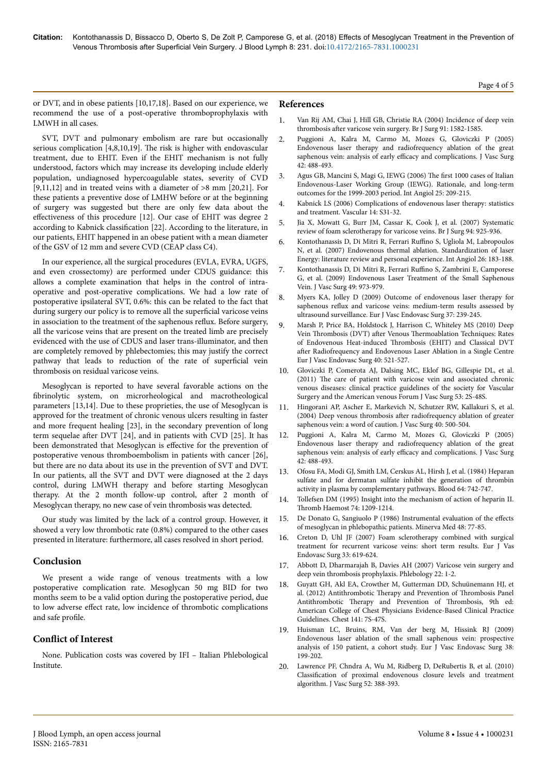or DVT, and in obese patients [10,17,18]. Based on our experience, we recommend the use of a post-operative thromboprophylaxis with LMWH in all cases.

SVT, DVT and pulmonary embolism are rare but occasionally serious complication [4,8,10,19]. The risk is higher with endovascular treatment, due to EHIT. Even if the EHIT mechanism is not fully understood, factors which may increase its developing include elderly population, undiagnosed hypercoagulable states, severity of CVD [9,11,12] and in treated veins with a diameter of  $>8$  mm [20,21]. For these patients a preventive dose of LMHW before or at the beginning of surgery was suggested but there are only few data about the effectiveness of this procedure [12]. Our case of EHIT was degree 2 according to Kabnick classification [22]. According to the literature, in our patients, EHIT happened in an obese patient with a mean diameter of the GSV of 12 mm and severe CVD (CEAP class C4).

In our experience, all the surgical procedures (EVLA, EVRA, UGFS, and even crossectomy) are performed under CDUS guidance: this allows a complete examination that helps in the control of intraoperative and post-operative complications. We had a low rate of postoperative ipsilateral SVT, 0.6%: this can be related to the fact that during surgery our policy is to remove all the superficial varicose veins in association to the treatment of the saphenous reflux. Before surgery, all the varicose veins that are present on the treated limb are precisely evidenced with the use of CDUS and laser trans-illuminator, and then are completely removed by phlebectomies; this may justify the correct pathway that leads to reduction of the rate of superficial vein thrombosis on residual varicose veins.

Mesoglycan is reported to have several favorable actions on the fibrinolytic system, on microrheological and macrotheological parameters [13,14]. Due to these proprieties, the use of Mesoglycan is approved for the treatment of chronic venous ulcers resulting in faster and more frequent healing [23], in the secondary prevention of long term sequelae after DVT [24], and in patients with CVD [25]. It has been demonstrated that Mesoglycan is effective for the prevention of postoperative venous thromboembolism in patients with cancer [26], but there are no data about its use in the prevention of SVT and DVT. In our patients, all the SVT and DVT were diagnosed at the 2 days control, during LMWH therapy and before starting Mesoglycan therapy. At the 2 month follow-up control, after 2 month of Mesoglycan therapy, no new case of vein thrombosis was detected.

Our study was limited by the lack of a control group. However, it showed a very low thrombotic rate (0.8%) compared to the other cases presented in literature: furthermore, all cases resolved in short period.

## **Conclusion**

We present a wide range of venous treatments with a low postoperative complication rate. Mesoglycan 50 mg BID for two months seem to be a valid option during the postoperative period, due to low adverse effect rate, low incidence of thrombotic complications and safe profile

# **Conflict of Interest**

None. Publication costs was covered by IFI – Italian Phlebological Institute.

# **References**

- 1. [Van Rij AM, Chai J, Hill GB, Christie RA \(2004\) Incidence of deep vein](https://doi.org/10.1002/bjs.4701) thrombosis after [varicose vein surgery. Br J Surg 91: 1582-1585.](https://doi.org/10.1002/bjs.4701)
- 2. [Puggioni A, Kalra M, Carmo M, Mozes G, Gloviczki P \(2005\)](https://doi.org/10.1016/j.jvs.2005.05.014) [Endovenous laser therapy and radiofrequency ablation of the great](https://doi.org/10.1016/j.jvs.2005.05.014) [saphenous vein: analysis of early](https://doi.org/10.1016/j.jvs.2005.05.014) efficacy and complications. J Vasc Surg [42: 488-493.](https://doi.org/10.1016/j.jvs.2005.05.014)
- 3. [Agus GB, Mancini S, Magi G, IEWG \(2006\)](https://www.ncbi.nlm.nih.gov/pubmed/16763541) Нe first 1000 cases of Italian [Endovenous-Laser Working Group \(IEWG\). Rationale, and long-term](https://www.ncbi.nlm.nih.gov/pubmed/16763541) [outcomes for the 1999-2003 period. Int Angiol 25: 209-215.](https://www.ncbi.nlm.nih.gov/pubmed/16763541)
- 4. Kabnick LS (2006) Complications of endovenous laser therapy: statistics and treatment. Vascular 14: S31-32.
- 5. [Jia X, Mowatt G, Burr JM, Cassar K, Cook J, et al. \(2007\) Systematic](https://doi.org/10.1002/bjs.5891) [review of foam sclerotherapy for varicose veins. Br J Surg 94: 925-936.](https://doi.org/10.1002/bjs.5891)
- 6. [Kontothanassis D, Di Mitri R, Ferrari](https://www.ncbi.nlm.nih.gov/pubmed/17489083) Ruffino S, Ugliola M, Labropoulos [N, et al. \(2007\) Endovenous thermal ablation. Standardization of laser](https://www.ncbi.nlm.nih.gov/pubmed/17489083) [Energy: literature review and personal experience. Int Angiol 26: 183-188.](https://www.ncbi.nlm.nih.gov/pubmed/17489083)
- 7. [Kontothanassis D, Di Mitri R, Ferrari](https://doi.org/10.1016/j.jvs.2008.11.019) Ruffino S, Zambrini E, Camporese [G, et al. \(2009\) Endovenous Laser Treatment of the Small Saphenous](https://doi.org/10.1016/j.jvs.2008.11.019) [Vein. J Vasc Surg 49: 973-979.](https://doi.org/10.1016/j.jvs.2008.11.019)
- 8. [Myers KA, Jolley D \(2009\) Outcome of endovenous laser therapy for](https://doi.org/10.1016/j.ejvs.2008.09.009) saphenous reflux [and varicose veins: medium-term results assessed by](https://doi.org/10.1016/j.ejvs.2008.09.009) [ultrasound surveillance. Eur J Vasc Endovasc Surg 37: 239-245.](https://doi.org/10.1016/j.ejvs.2008.09.009)
- 9. [Marsh P, Price BA, Holdstock J, Harrison C, Whiteley MS \(2010\) Deep](https://doi.org/10.1016/j.ejvs.2010.05.011) Vein Thrombosis (DVT) after Venous Thermoablation [Techniques: Rates](https://doi.org/10.1016/j.ejvs.2010.05.011) [of Endovenous Heat-induced](https://doi.org/10.1016/j.ejvs.2010.05.011) Thrombosis (EHIT) and Classical DVT after [Radiofrequency and Endovenous Laser Ablation in a Single Centre](https://doi.org/10.1016/j.ejvs.2010.05.011) [Eur J Vasc Endovasc Surg 40: 521-527.](https://doi.org/10.1016/j.ejvs.2010.05.011)
- 10. [Gloviczki P, Comerota AJ, Dalsing MC, Eklof BG, Gillespie DL, et al.](https://doi.org/10.1016/j.jvs.2011.01.079) (2011) Нe [care of patient with varicose vein and associated chronic](https://doi.org/10.1016/j.jvs.2011.01.079) [venous diseases: clinical practice guidelines of the society for Vascular](https://doi.org/10.1016/j.jvs.2011.01.079) [Surgery and the American venous Forum J Vasc Surg 53: 2S-48S.](https://doi.org/10.1016/j.jvs.2011.01.079)
- 11. [Hingorani AP, Ascher E, Markevich N, Schutzer RW, Kallakuri S, et al.](https://doi.org/10.1016/j.jvs.2004.04.032) (2004) Deep venous thrombosis after [radiofrequency ablation of greater](https://doi.org/10.1016/j.jvs.2004.04.032) [saphenous vein: a word of caution. J Vasc Surg 40: 500-504](https://doi.org/10.1016/j.jvs.2004.04.032).
- 12. [Puggioni A, Kalra M, Carmo M, Mozes G, Gloviczki P \(2005\)](https://doi.org/10.1016/j.jvs.2005.05.014) [Endovenous laser therapy and radiofrequency ablation of the great](https://doi.org/10.1016/j.jvs.2005.05.014) [saphenous vein: analysis of early](https://doi.org/10.1016/j.jvs.2005.05.014) efficacy and complications. J Vasc Surg [42: 488-493.](https://doi.org/10.1016/j.jvs.2005.05.014)
- 13. [Ofosu FA, Modi GJ, Smith LM, Cerskus AL, Hirsh J, et al. \(1984\) Heparan](https://www.ncbi.nlm.nih.gov/pubmed/6235872) [sulfate and for dermatan sulfate inhibit the generation of thrombin](https://www.ncbi.nlm.nih.gov/pubmed/6235872) [activity in plasma by complementary pathways. Blood 64: 742-747.](https://www.ncbi.nlm.nih.gov/pubmed/6235872)
- 14. [Tollefsen DM \(1995\) Insight into the mechanism of action of heparin II.](https://www.ncbi.nlm.nih.gov/pubmed/8607096) Thromb [Haemost 74: 1209-1214.](https://www.ncbi.nlm.nih.gov/pubmed/8607096)
- 15. [De Donato G, Sangiuolo P \(1986\) Instrumental evaluation of the](https://wwww.unboundmedicine.com/medline/citation/2946988/%5bInstrumental_evaluation_of_the_effects_of_mesoglycan_in_venous_disease_patients__A_prospective_randomized_double_blind_study%5d_) effects [of mesoglycan in phlebopathic patients. Minerva Med 48: 77-85.](https://wwww.unboundmedicine.com/medline/citation/2946988/%5bInstrumental_evaluation_of_the_effects_of_mesoglycan_in_venous_disease_patients__A_prospective_randomized_double_blind_study%5d_)
- 16. [Creton D, Uhl JF \(2007\) Foam sclerotherapy combined with surgical](https://doi.org/10.1016/j.ejvs.2006.11.037) [treatment for recurrent varicose veins: short term results. Eur J Vas](https://doi.org/10.1016/j.ejvs.2006.11.037) [Endovasc Surg 33: 619-624.](https://doi.org/10.1016/j.ejvs.2006.11.037)
- 17. [Abbott D, Dharmarajah B, Davies AH \(2007\) Varicose vein surgery and](https://doi.org/10.1258/026835507779700590) [deep vein thrombosis prophylaxis. Phlebology 22: 1-2.](https://doi.org/10.1258/026835507779700590)
- 18. [Guyatt GH, Akl EA, Crowther M, Gutterman DD, Schuünemann HJ, et](https://doi.org/10.1378/chest.1412S3) [al. \(2012\) Antithrombotic](https://doi.org/10.1378/chest.1412S3) Therapy and Prevention of Thrombosis Panel Antithrombotic Therapy [and Prevention of](https://doi.org/10.1378/chest.1412S3) Thrombosis, 9th ed: [American College of Chest Physicians Evidence-Based Clinical Practice](https://doi.org/10.1378/chest.1412S3) [Guidelines. Chest 141: 7S-47S.](https://doi.org/10.1378/chest.1412S3)
- 19. [Huisman LC, Bruins, RM, Van der berg M, Hissink RJ \(2009\)](https://doi.org/10.1016/j.ejvs.2009.04.003) [Endovenous laser ablation of the small saphenous vein: prospective](https://doi.org/10.1016/j.ejvs.2009.04.003) [analysis of 150 patient, a cohort study. Eur J Vasc Endovasc Surg 38:](https://doi.org/10.1016/j.ejvs.2009.04.003) [199-202.](https://doi.org/10.1016/j.ejvs.2009.04.003)
- 20. [Lawrence PF, Chndra A, Wu M, Ridberg D, DeRubertis B, et al. \(2010\)](https://doi.org/10.1016/j.jvs.2010.02.263) Classification [of proximal endovenous closure levels and treatment](https://doi.org/10.1016/j.jvs.2010.02.263) [algorithm. J Vasc Surg 52: 388-393.](https://doi.org/10.1016/j.jvs.2010.02.263)